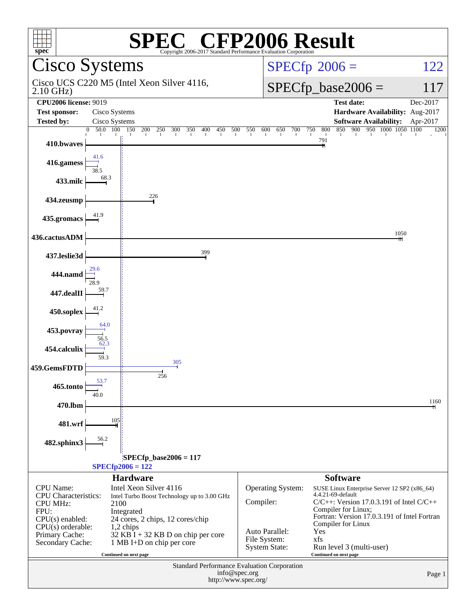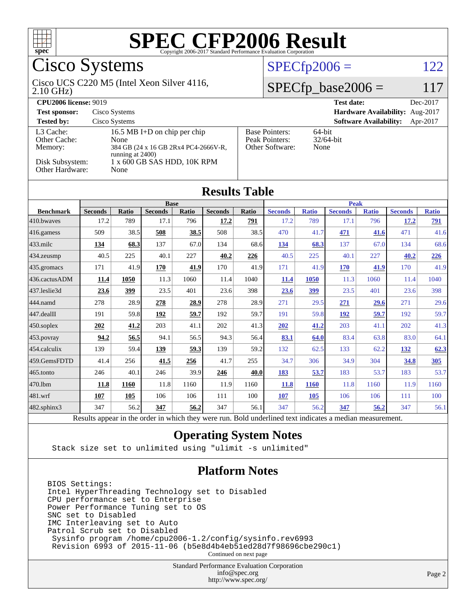

## Cisco Systems

#### 2.10 GHz) Cisco UCS C220 M5 (Intel Xeon Silver 4116,

 $SPECfp2006 = 122$  $SPECfp2006 = 122$ 

### $SPECfp\_base2006 = 117$

| <b>CPU2006 license: 9019</b>         |                                                                                                     |                                                            | <b>Test date:</b><br>Dec-2017             |  |  |  |
|--------------------------------------|-----------------------------------------------------------------------------------------------------|------------------------------------------------------------|-------------------------------------------|--|--|--|
| <b>Test sponsor:</b>                 | Cisco Systems                                                                                       |                                                            | Hardware Availability: Aug-2017           |  |  |  |
| <b>Tested by:</b>                    | Cisco Systems                                                                                       |                                                            | <b>Software Availability:</b><br>Apr-2017 |  |  |  |
| L3 Cache:<br>Other Cache:<br>Memory: | 16.5 MB I+D on chip per chip<br>None<br>384 GB (24 x 16 GB 2Rx4 PC4-2666V-R,<br>running at $2400$ ) | <b>Base Pointers:</b><br>Peak Pointers:<br>Other Software: | $64$ -bit<br>$32/64$ -bit<br>None         |  |  |  |
| Disk Subsystem:<br>Other Hardware:   | 1 x 600 GB SAS HDD, 10K RPM<br>None                                                                 |                                                            |                                           |  |  |  |

**[Results Table](http://www.spec.org/auto/cpu2006/Docs/result-fields.html#ResultsTable)**

| Round Tavn                                                                                           |                |              |                |       |                |       |                |              |                |              |                |              |
|------------------------------------------------------------------------------------------------------|----------------|--------------|----------------|-------|----------------|-------|----------------|--------------|----------------|--------------|----------------|--------------|
|                                                                                                      | <b>Base</b>    |              |                |       |                |       | <b>Peak</b>    |              |                |              |                |              |
| <b>Benchmark</b>                                                                                     | <b>Seconds</b> | <b>Ratio</b> | <b>Seconds</b> | Ratio | <b>Seconds</b> | Ratio | <b>Seconds</b> | <b>Ratio</b> | <b>Seconds</b> | <b>Ratio</b> | <b>Seconds</b> | <b>Ratio</b> |
| 410.bwayes                                                                                           | 17.2           | 789          | 17.1           | 796   | 17.2           | 791   | 17.2           | 789          | 17.1           | 796          | 17.2           | <u>791</u>   |
| 416.gamess                                                                                           | 509            | 38.5         | 508            | 38.5  | 508            | 38.5  | 470            | 41.7         | 471            | 41.6         | 471            | 41.6         |
| $433$ .milc                                                                                          | 134            | 68.3         | 137            | 67.0  | 134            | 68.6  | <u>134</u>     | 68.3         | 137            | 67.0         | 134            | 68.6         |
| 434.zeusmp                                                                                           | 40.5           | 225          | 40.1           | 227   | 40.2           | 226   | 40.5           | 225          | 40.1           | 227          | 40.2           | 226          |
| 435.gromacs                                                                                          | 171            | 41.9         | 170            | 41.9  | 170            | 41.9  | 171            | 41.9         | <b>170</b>     | 41.9         | 170            | 41.9         |
| 436.cactusADM                                                                                        | 11.4           | 1050         | 11.3           | 1060  | 11.4           | 1040  | 11.4           | 1050         | 11.3           | 1060         | 11.4           | 1040         |
| 437.leslie3d                                                                                         | 23.6           | 399          | 23.5           | 401   | 23.6           | 398   | 23.6           | 399          | 23.5           | 401          | 23.6           | 398          |
| 444.namd                                                                                             | 278            | 28.9         | 278            | 28.9  | 278            | 28.9  | 271            | 29.5         | 271            | 29.6         | 271            | 29.6         |
| 447.dealII                                                                                           | 191            | 59.8         | 192            | 59.7  | 192            | 59.7  | 191            | 59.8         | <u>192</u>     | 59.7         | 192            | 59.7         |
| $450$ .soplex                                                                                        | 202            | 41.2         | 203            | 41.1  | 202            | 41.3  | 202            | 41.2         | 203            | 41.1         | 202            | 41.3         |
| $453$ .povray                                                                                        | 94.2           | 56.5         | 94.1           | 56.5  | 94.3           | 56.4  | 83.1           | 64.0         | 83.4           | 63.8         | 83.0           | 64.1         |
| 454.calculix                                                                                         | 139            | 59.4         | 139            | 59.3  | 139            | 59.2  | 132            | 62.5         | 133            | 62.2         | 132            | 62.3         |
| 459.GemsFDTD                                                                                         | 41.4           | 256          | 41.5           | 256   | 41.7           | 255   | 34.7           | 306          | 34.9           | 304          | 34.8           | 305          |
| 465.tonto                                                                                            | 246            | 40.1         | 246            | 39.9  | 246            | 40.0  | 183            | 53.7         | 183            | 53.7         | 183            | 53.7         |
| 470.1bm                                                                                              | 11.8           | 1160         | 11.8           | 1160  | 11.9           | 1160  | 11.8           | <b>1160</b>  | 11.8           | 1160         | 11.9           | 1160         |
| 481.wrf                                                                                              | 107            | 105          | 106            | 106   | 111            | 100   | 107            | 105          | 106            | 106          | 111            | 100          |
| 482.sphinx3                                                                                          | 347            | 56.2         | 347            | 56.2  | 347            | 56.1  | 347            | 56.2         | 347            | 56.2         | 347            | 56.1         |
| Decute ennear in the order in which thay were my Dold underlined tout indicates a madien measurement |                |              |                |       |                |       |                |              |                |              |                |              |

Results appear in the [order in which they were run.](http://www.spec.org/auto/cpu2006/Docs/result-fields.html#RunOrder) Bold underlined text [indicates a median measurement.](http://www.spec.org/auto/cpu2006/Docs/result-fields.html#Median)

### **[Operating System Notes](http://www.spec.org/auto/cpu2006/Docs/result-fields.html#OperatingSystemNotes)**

Stack size set to unlimited using "ulimit -s unlimited"

### **[Platform Notes](http://www.spec.org/auto/cpu2006/Docs/result-fields.html#PlatformNotes)**

BIOS Settings: Intel HyperThreading Technology set to Disabled CPU performance set to Enterprise Power Performance Tuning set to OS SNC set to Disabled IMC Interleaving set to Auto Patrol Scrub set to Disabled Sysinfo program /home/cpu2006-1.2/config/sysinfo.rev6993 Revision 6993 of 2015-11-06 (b5e8d4b4eb51ed28d7f98696cbe290c1)

Continued on next page

Standard Performance Evaluation Corporation [info@spec.org](mailto:info@spec.org) <http://www.spec.org/>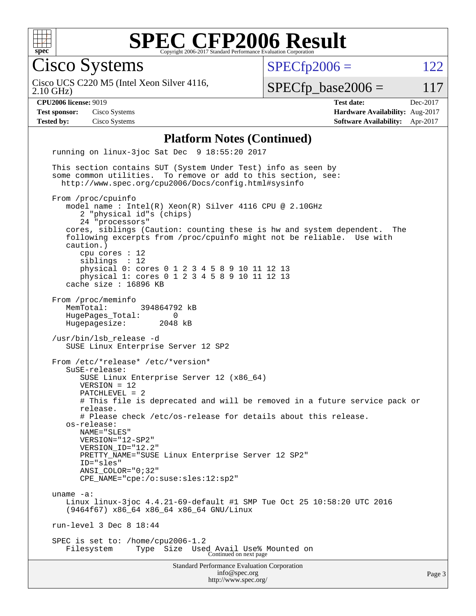

Cisco Systems

 $SPECTp2006 = 122$ 

2.10 GHz) Cisco UCS C220 M5 (Intel Xeon Silver 4116,

 $SPECfp\_base2006 = 117$ 

**[CPU2006 license:](http://www.spec.org/auto/cpu2006/Docs/result-fields.html#CPU2006license)** 9019 **[Test date:](http://www.spec.org/auto/cpu2006/Docs/result-fields.html#Testdate)** Dec-2017 **[Test sponsor:](http://www.spec.org/auto/cpu2006/Docs/result-fields.html#Testsponsor)** Cisco Systems **[Hardware Availability:](http://www.spec.org/auto/cpu2006/Docs/result-fields.html#HardwareAvailability)** Aug-2017 **[Tested by:](http://www.spec.org/auto/cpu2006/Docs/result-fields.html#Testedby)** Cisco Systems **[Software Availability:](http://www.spec.org/auto/cpu2006/Docs/result-fields.html#SoftwareAvailability)** Apr-2017

#### **[Platform Notes \(Continued\)](http://www.spec.org/auto/cpu2006/Docs/result-fields.html#PlatformNotes)**

Standard Performance Evaluation Corporation [info@spec.org](mailto:info@spec.org) <http://www.spec.org/> running on linux-3joc Sat Dec 9 18:55:20 2017 This section contains SUT (System Under Test) info as seen by some common utilities. To remove or add to this section, see: <http://www.spec.org/cpu2006/Docs/config.html#sysinfo> From /proc/cpuinfo model name : Intel(R) Xeon(R) Silver 4116 CPU @ 2.10GHz 2 "physical id"s (chips) 24 "processors" cores, siblings (Caution: counting these is hw and system dependent. The following excerpts from /proc/cpuinfo might not be reliable. Use with caution.) cpu cores : 12 siblings : 12 physical 0: cores 0 1 2 3 4 5 8 9 10 11 12 13 physical 1: cores 0 1 2 3 4 5 8 9 10 11 12 13 cache size : 16896 KB From /proc/meminfo MemTotal: 394864792 kB HugePages\_Total: 0<br>Hugepagesize: 2048 kB Hugepagesize: /usr/bin/lsb\_release -d SUSE Linux Enterprise Server 12 SP2 From /etc/\*release\* /etc/\*version\* SuSE-release: SUSE Linux Enterprise Server 12 (x86\_64) VERSION = 12 PATCHLEVEL = 2 # This file is deprecated and will be removed in a future service pack or release. # Please check /etc/os-release for details about this release. os-release: NAME="SLES" VERSION="12-SP2" VERSION\_ID="12.2" PRETTY NAME="SUSE Linux Enterprise Server 12 SP2" ID="sles" ANSI\_COLOR="0;32" CPE\_NAME="cpe:/o:suse:sles:12:sp2" uname -a: Linux linux-3joc 4.4.21-69-default #1 SMP Tue Oct 25 10:58:20 UTC 2016 (9464f67) x86\_64 x86\_64 x86\_64 GNU/Linux run-level 3 Dec 8 18:44 SPEC is set to: /home/cpu2006-1.2 Filesystem Type Size Used Avail Use% Mounted on Continued on next page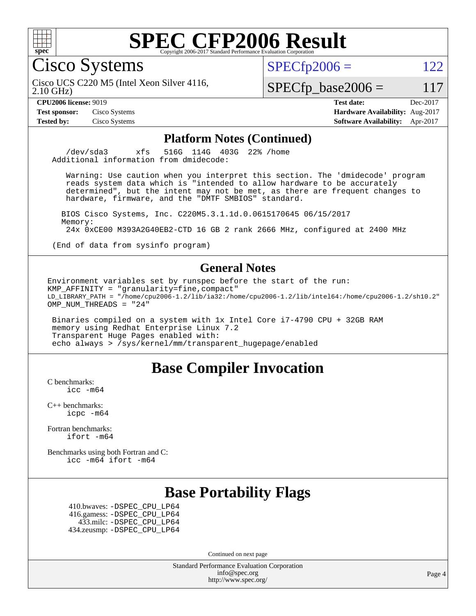

Cisco Systems

 $SPECTp2006 = 122$ 

2.10 GHz) Cisco UCS C220 M5 (Intel Xeon Silver 4116,

 $SPECfp\_base2006 = 117$ 

**[CPU2006 license:](http://www.spec.org/auto/cpu2006/Docs/result-fields.html#CPU2006license)** 9019 **[Test date:](http://www.spec.org/auto/cpu2006/Docs/result-fields.html#Testdate)** Dec-2017 **[Test sponsor:](http://www.spec.org/auto/cpu2006/Docs/result-fields.html#Testsponsor)** Cisco Systems **[Hardware Availability:](http://www.spec.org/auto/cpu2006/Docs/result-fields.html#HardwareAvailability)** Aug-2017 **[Tested by:](http://www.spec.org/auto/cpu2006/Docs/result-fields.html#Testedby)** Cisco Systems **[Software Availability:](http://www.spec.org/auto/cpu2006/Docs/result-fields.html#SoftwareAvailability)** Apr-2017

### **[Platform Notes \(Continued\)](http://www.spec.org/auto/cpu2006/Docs/result-fields.html#PlatformNotes)**

 /dev/sda3 xfs 516G 114G 403G 22% /home Additional information from dmidecode:

 Warning: Use caution when you interpret this section. The 'dmidecode' program reads system data which is "intended to allow hardware to be accurately determined", but the intent may not be met, as there are frequent changes to hardware, firmware, and the "DMTF SMBIOS" standard.

 BIOS Cisco Systems, Inc. C220M5.3.1.1d.0.0615170645 06/15/2017 Memory: 24x 0xCE00 M393A2G40EB2-CTD 16 GB 2 rank 2666 MHz, configured at 2400 MHz

(End of data from sysinfo program)

### **[General Notes](http://www.spec.org/auto/cpu2006/Docs/result-fields.html#GeneralNotes)**

Environment variables set by runspec before the start of the run: KMP\_AFFINITY = "granularity=fine,compact" LD\_LIBRARY\_PATH = "/home/cpu2006-1.2/lib/ia32:/home/cpu2006-1.2/lib/intel64:/home/cpu2006-1.2/sh10.2" OMP\_NUM\_THREADS = "24"

 Binaries compiled on a system with 1x Intel Core i7-4790 CPU + 32GB RAM memory using Redhat Enterprise Linux 7.2 Transparent Huge Pages enabled with: echo always > /sys/kernel/mm/transparent\_hugepage/enabled

### **[Base Compiler Invocation](http://www.spec.org/auto/cpu2006/Docs/result-fields.html#BaseCompilerInvocation)**

[C benchmarks](http://www.spec.org/auto/cpu2006/Docs/result-fields.html#Cbenchmarks): [icc -m64](http://www.spec.org/cpu2006/results/res2017q4/cpu2006-20171211-50972.flags.html#user_CCbase_intel_icc_64bit_bda6cc9af1fdbb0edc3795bac97ada53)

[C++ benchmarks:](http://www.spec.org/auto/cpu2006/Docs/result-fields.html#CXXbenchmarks) [icpc -m64](http://www.spec.org/cpu2006/results/res2017q4/cpu2006-20171211-50972.flags.html#user_CXXbase_intel_icpc_64bit_fc66a5337ce925472a5c54ad6a0de310)

[Fortran benchmarks](http://www.spec.org/auto/cpu2006/Docs/result-fields.html#Fortranbenchmarks): [ifort -m64](http://www.spec.org/cpu2006/results/res2017q4/cpu2006-20171211-50972.flags.html#user_FCbase_intel_ifort_64bit_ee9d0fb25645d0210d97eb0527dcc06e)

[Benchmarks using both Fortran and C](http://www.spec.org/auto/cpu2006/Docs/result-fields.html#BenchmarksusingbothFortranandC): [icc -m64](http://www.spec.org/cpu2006/results/res2017q4/cpu2006-20171211-50972.flags.html#user_CC_FCbase_intel_icc_64bit_bda6cc9af1fdbb0edc3795bac97ada53) [ifort -m64](http://www.spec.org/cpu2006/results/res2017q4/cpu2006-20171211-50972.flags.html#user_CC_FCbase_intel_ifort_64bit_ee9d0fb25645d0210d97eb0527dcc06e)

### **[Base Portability Flags](http://www.spec.org/auto/cpu2006/Docs/result-fields.html#BasePortabilityFlags)**

 410.bwaves: [-DSPEC\\_CPU\\_LP64](http://www.spec.org/cpu2006/results/res2017q4/cpu2006-20171211-50972.flags.html#suite_basePORTABILITY410_bwaves_DSPEC_CPU_LP64) 416.gamess: [-DSPEC\\_CPU\\_LP64](http://www.spec.org/cpu2006/results/res2017q4/cpu2006-20171211-50972.flags.html#suite_basePORTABILITY416_gamess_DSPEC_CPU_LP64) 433.milc: [-DSPEC\\_CPU\\_LP64](http://www.spec.org/cpu2006/results/res2017q4/cpu2006-20171211-50972.flags.html#suite_basePORTABILITY433_milc_DSPEC_CPU_LP64) 434.zeusmp: [-DSPEC\\_CPU\\_LP64](http://www.spec.org/cpu2006/results/res2017q4/cpu2006-20171211-50972.flags.html#suite_basePORTABILITY434_zeusmp_DSPEC_CPU_LP64)

Continued on next page

Standard Performance Evaluation Corporation [info@spec.org](mailto:info@spec.org) <http://www.spec.org/>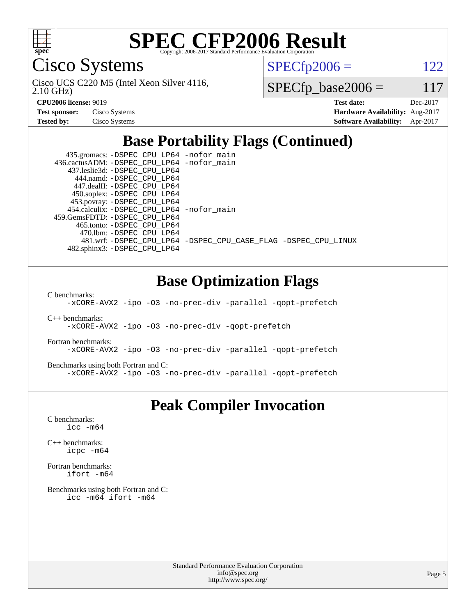

Cisco Systems

2.10 GHz) Cisco UCS C220 M5 (Intel Xeon Silver 4116,  $SPECTp2006 = 122$ 

 $SPECfp\_base2006 = 117$ 

| <b>Test sponsor:</b> | Cisco Systems |
|----------------------|---------------|
| <b>Tested by:</b>    | Cisco Systems |

**[CPU2006 license:](http://www.spec.org/auto/cpu2006/Docs/result-fields.html#CPU2006license)** 9019 **[Test date:](http://www.spec.org/auto/cpu2006/Docs/result-fields.html#Testdate)** Dec-2017 **[Hardware Availability:](http://www.spec.org/auto/cpu2006/Docs/result-fields.html#HardwareAvailability)** Aug-2017 **[Software Availability:](http://www.spec.org/auto/cpu2006/Docs/result-fields.html#SoftwareAvailability)** Apr-2017

### **[Base Portability Flags \(Continued\)](http://www.spec.org/auto/cpu2006/Docs/result-fields.html#BasePortabilityFlags)**

 435.gromacs: [-DSPEC\\_CPU\\_LP64](http://www.spec.org/cpu2006/results/res2017q4/cpu2006-20171211-50972.flags.html#suite_basePORTABILITY435_gromacs_DSPEC_CPU_LP64) [-nofor\\_main](http://www.spec.org/cpu2006/results/res2017q4/cpu2006-20171211-50972.flags.html#user_baseLDPORTABILITY435_gromacs_f-nofor_main) 436.cactusADM: [-DSPEC\\_CPU\\_LP64](http://www.spec.org/cpu2006/results/res2017q4/cpu2006-20171211-50972.flags.html#suite_basePORTABILITY436_cactusADM_DSPEC_CPU_LP64) [-nofor\\_main](http://www.spec.org/cpu2006/results/res2017q4/cpu2006-20171211-50972.flags.html#user_baseLDPORTABILITY436_cactusADM_f-nofor_main) 437.leslie3d: [-DSPEC\\_CPU\\_LP64](http://www.spec.org/cpu2006/results/res2017q4/cpu2006-20171211-50972.flags.html#suite_basePORTABILITY437_leslie3d_DSPEC_CPU_LP64) 444.namd: [-DSPEC\\_CPU\\_LP64](http://www.spec.org/cpu2006/results/res2017q4/cpu2006-20171211-50972.flags.html#suite_basePORTABILITY444_namd_DSPEC_CPU_LP64) 447.dealII: [-DSPEC\\_CPU\\_LP64](http://www.spec.org/cpu2006/results/res2017q4/cpu2006-20171211-50972.flags.html#suite_basePORTABILITY447_dealII_DSPEC_CPU_LP64) 450.soplex: [-DSPEC\\_CPU\\_LP64](http://www.spec.org/cpu2006/results/res2017q4/cpu2006-20171211-50972.flags.html#suite_basePORTABILITY450_soplex_DSPEC_CPU_LP64) 453.povray: [-DSPEC\\_CPU\\_LP64](http://www.spec.org/cpu2006/results/res2017q4/cpu2006-20171211-50972.flags.html#suite_basePORTABILITY453_povray_DSPEC_CPU_LP64) 454.calculix: [-DSPEC\\_CPU\\_LP64](http://www.spec.org/cpu2006/results/res2017q4/cpu2006-20171211-50972.flags.html#suite_basePORTABILITY454_calculix_DSPEC_CPU_LP64) [-nofor\\_main](http://www.spec.org/cpu2006/results/res2017q4/cpu2006-20171211-50972.flags.html#user_baseLDPORTABILITY454_calculix_f-nofor_main) 459.GemsFDTD: [-DSPEC\\_CPU\\_LP64](http://www.spec.org/cpu2006/results/res2017q4/cpu2006-20171211-50972.flags.html#suite_basePORTABILITY459_GemsFDTD_DSPEC_CPU_LP64) 465.tonto: [-DSPEC\\_CPU\\_LP64](http://www.spec.org/cpu2006/results/res2017q4/cpu2006-20171211-50972.flags.html#suite_basePORTABILITY465_tonto_DSPEC_CPU_LP64) 470.lbm: [-DSPEC\\_CPU\\_LP64](http://www.spec.org/cpu2006/results/res2017q4/cpu2006-20171211-50972.flags.html#suite_basePORTABILITY470_lbm_DSPEC_CPU_LP64) 481.wrf: [-DSPEC\\_CPU\\_LP64](http://www.spec.org/cpu2006/results/res2017q4/cpu2006-20171211-50972.flags.html#suite_basePORTABILITY481_wrf_DSPEC_CPU_LP64) [-DSPEC\\_CPU\\_CASE\\_FLAG](http://www.spec.org/cpu2006/results/res2017q4/cpu2006-20171211-50972.flags.html#b481.wrf_baseCPORTABILITY_DSPEC_CPU_CASE_FLAG) [-DSPEC\\_CPU\\_LINUX](http://www.spec.org/cpu2006/results/res2017q4/cpu2006-20171211-50972.flags.html#b481.wrf_baseCPORTABILITY_DSPEC_CPU_LINUX) 482.sphinx3: [-DSPEC\\_CPU\\_LP64](http://www.spec.org/cpu2006/results/res2017q4/cpu2006-20171211-50972.flags.html#suite_basePORTABILITY482_sphinx3_DSPEC_CPU_LP64)

### **[Base Optimization Flags](http://www.spec.org/auto/cpu2006/Docs/result-fields.html#BaseOptimizationFlags)**

[C benchmarks](http://www.spec.org/auto/cpu2006/Docs/result-fields.html#Cbenchmarks):

[-xCORE-AVX2](http://www.spec.org/cpu2006/results/res2017q4/cpu2006-20171211-50972.flags.html#user_CCbase_f-xCORE-AVX2) [-ipo](http://www.spec.org/cpu2006/results/res2017q4/cpu2006-20171211-50972.flags.html#user_CCbase_f-ipo) [-O3](http://www.spec.org/cpu2006/results/res2017q4/cpu2006-20171211-50972.flags.html#user_CCbase_f-O3) [-no-prec-div](http://www.spec.org/cpu2006/results/res2017q4/cpu2006-20171211-50972.flags.html#user_CCbase_f-no-prec-div) [-parallel](http://www.spec.org/cpu2006/results/res2017q4/cpu2006-20171211-50972.flags.html#user_CCbase_f-parallel) [-qopt-prefetch](http://www.spec.org/cpu2006/results/res2017q4/cpu2006-20171211-50972.flags.html#user_CCbase_f-qopt-prefetch)

[C++ benchmarks:](http://www.spec.org/auto/cpu2006/Docs/result-fields.html#CXXbenchmarks)

[-xCORE-AVX2](http://www.spec.org/cpu2006/results/res2017q4/cpu2006-20171211-50972.flags.html#user_CXXbase_f-xCORE-AVX2) [-ipo](http://www.spec.org/cpu2006/results/res2017q4/cpu2006-20171211-50972.flags.html#user_CXXbase_f-ipo) [-O3](http://www.spec.org/cpu2006/results/res2017q4/cpu2006-20171211-50972.flags.html#user_CXXbase_f-O3) [-no-prec-div](http://www.spec.org/cpu2006/results/res2017q4/cpu2006-20171211-50972.flags.html#user_CXXbase_f-no-prec-div) [-qopt-prefetch](http://www.spec.org/cpu2006/results/res2017q4/cpu2006-20171211-50972.flags.html#user_CXXbase_f-qopt-prefetch)

[Fortran benchmarks](http://www.spec.org/auto/cpu2006/Docs/result-fields.html#Fortranbenchmarks):

[-xCORE-AVX2](http://www.spec.org/cpu2006/results/res2017q4/cpu2006-20171211-50972.flags.html#user_FCbase_f-xCORE-AVX2) [-ipo](http://www.spec.org/cpu2006/results/res2017q4/cpu2006-20171211-50972.flags.html#user_FCbase_f-ipo) [-O3](http://www.spec.org/cpu2006/results/res2017q4/cpu2006-20171211-50972.flags.html#user_FCbase_f-O3) [-no-prec-div](http://www.spec.org/cpu2006/results/res2017q4/cpu2006-20171211-50972.flags.html#user_FCbase_f-no-prec-div) [-parallel](http://www.spec.org/cpu2006/results/res2017q4/cpu2006-20171211-50972.flags.html#user_FCbase_f-parallel) [-qopt-prefetch](http://www.spec.org/cpu2006/results/res2017q4/cpu2006-20171211-50972.flags.html#user_FCbase_f-qopt-prefetch)

[Benchmarks using both Fortran and C](http://www.spec.org/auto/cpu2006/Docs/result-fields.html#BenchmarksusingbothFortranandC):

[-xCORE-AVX2](http://www.spec.org/cpu2006/results/res2017q4/cpu2006-20171211-50972.flags.html#user_CC_FCbase_f-xCORE-AVX2) [-ipo](http://www.spec.org/cpu2006/results/res2017q4/cpu2006-20171211-50972.flags.html#user_CC_FCbase_f-ipo) [-O3](http://www.spec.org/cpu2006/results/res2017q4/cpu2006-20171211-50972.flags.html#user_CC_FCbase_f-O3) [-no-prec-div](http://www.spec.org/cpu2006/results/res2017q4/cpu2006-20171211-50972.flags.html#user_CC_FCbase_f-no-prec-div) [-parallel](http://www.spec.org/cpu2006/results/res2017q4/cpu2006-20171211-50972.flags.html#user_CC_FCbase_f-parallel) [-qopt-prefetch](http://www.spec.org/cpu2006/results/res2017q4/cpu2006-20171211-50972.flags.html#user_CC_FCbase_f-qopt-prefetch)

### **[Peak Compiler Invocation](http://www.spec.org/auto/cpu2006/Docs/result-fields.html#PeakCompilerInvocation)**

[C benchmarks](http://www.spec.org/auto/cpu2006/Docs/result-fields.html#Cbenchmarks): [icc -m64](http://www.spec.org/cpu2006/results/res2017q4/cpu2006-20171211-50972.flags.html#user_CCpeak_intel_icc_64bit_bda6cc9af1fdbb0edc3795bac97ada53)

[C++ benchmarks:](http://www.spec.org/auto/cpu2006/Docs/result-fields.html#CXXbenchmarks) [icpc -m64](http://www.spec.org/cpu2006/results/res2017q4/cpu2006-20171211-50972.flags.html#user_CXXpeak_intel_icpc_64bit_fc66a5337ce925472a5c54ad6a0de310)

[Fortran benchmarks](http://www.spec.org/auto/cpu2006/Docs/result-fields.html#Fortranbenchmarks): [ifort -m64](http://www.spec.org/cpu2006/results/res2017q4/cpu2006-20171211-50972.flags.html#user_FCpeak_intel_ifort_64bit_ee9d0fb25645d0210d97eb0527dcc06e)

[Benchmarks using both Fortran and C](http://www.spec.org/auto/cpu2006/Docs/result-fields.html#BenchmarksusingbothFortranandC): [icc -m64](http://www.spec.org/cpu2006/results/res2017q4/cpu2006-20171211-50972.flags.html#user_CC_FCpeak_intel_icc_64bit_bda6cc9af1fdbb0edc3795bac97ada53) [ifort -m64](http://www.spec.org/cpu2006/results/res2017q4/cpu2006-20171211-50972.flags.html#user_CC_FCpeak_intel_ifort_64bit_ee9d0fb25645d0210d97eb0527dcc06e)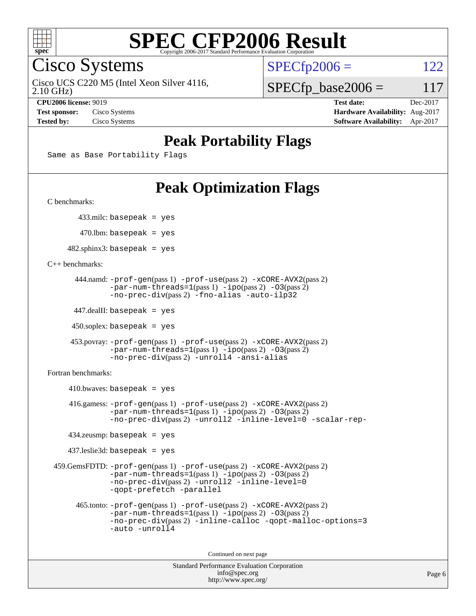

Cisco Systems

2.10 GHz) Cisco UCS C220 M5 (Intel Xeon Silver 4116,  $SPECTp2006 = 122$ 

 $SPECfp\_base2006 = 117$ 

**[CPU2006 license:](http://www.spec.org/auto/cpu2006/Docs/result-fields.html#CPU2006license)** 9019 **[Test date:](http://www.spec.org/auto/cpu2006/Docs/result-fields.html#Testdate)** Dec-2017 **[Test sponsor:](http://www.spec.org/auto/cpu2006/Docs/result-fields.html#Testsponsor)** Cisco Systems **[Hardware Availability:](http://www.spec.org/auto/cpu2006/Docs/result-fields.html#HardwareAvailability)** Aug-2017 **[Tested by:](http://www.spec.org/auto/cpu2006/Docs/result-fields.html#Testedby)** Cisco Systems **[Software Availability:](http://www.spec.org/auto/cpu2006/Docs/result-fields.html#SoftwareAvailability)** Apr-2017

### **[Peak Portability Flags](http://www.spec.org/auto/cpu2006/Docs/result-fields.html#PeakPortabilityFlags)**

Same as Base Portability Flags

## **[Peak Optimization Flags](http://www.spec.org/auto/cpu2006/Docs/result-fields.html#PeakOptimizationFlags)**

[C benchmarks](http://www.spec.org/auto/cpu2006/Docs/result-fields.html#Cbenchmarks):

433.milc: basepeak = yes

 $470$ .lbm: basepeak = yes

 $482$ .sphinx3: basepeak = yes

[C++ benchmarks:](http://www.spec.org/auto/cpu2006/Docs/result-fields.html#CXXbenchmarks)

```
 444.namd: -prof-gen(pass 1) -prof-use(pass 2) -xCORE-AVX2(pass 2)
      -par-num-threads=1-ipo-O3(pass 2)-no-prec-div(pass 2) -fno-alias -auto-ilp32
```
447.dealII: basepeak = yes

 $450$ .soplex: basepeak = yes

```
 453.povray: -prof-gen(pass 1) -prof-use(pass 2) -xCORE-AVX2(pass 2)
        -par-num-threads=1-ipo-O3(pass 2)-no-prec-div(pass 2) -unroll4 -ansi-alias
```
[Fortran benchmarks](http://www.spec.org/auto/cpu2006/Docs/result-fields.html#Fortranbenchmarks):

```
410.bwaves: basepeak = yes 416.gamess: -prof-gen(pass 1) -prof-use(pass 2) -xCORE-AVX2(pass 2)
            -par-num-threads=1-ipo-O3(pass 2)-no-prec-div(pass 2) -unroll2 -inline-level=0 -scalar-rep-
   434.zeusmp: basepeak = yes
   437.leslie3d: basepeak = yes
459.GemsFDTD: -prof-gen(pass 1) -prof-use(pass 2) -xCORE-AVX2(pass 2)
            -par-num-threads=1(pass 1) -ipo(pass 2) -O3(pass 2)
            -no-prec-div(pass 2) -unroll2 -inline-level=0
            -qopt-prefetch -parallel
     465.tonto: -prof-gen(pass 1) -prof-use(pass 2) -xCORE-AVX2(pass 2)
            -par-num-threads=1(pass 1) -ipo(pass 2) -O3(pass 2)
            -no-prec-div-inline-calloc-qopt-malloc-options=3
            -auto -unroll4
```
Continued on next page

```
Standard Performance Evaluation Corporation
            info@spec.org
          http://www.spec.org/
```